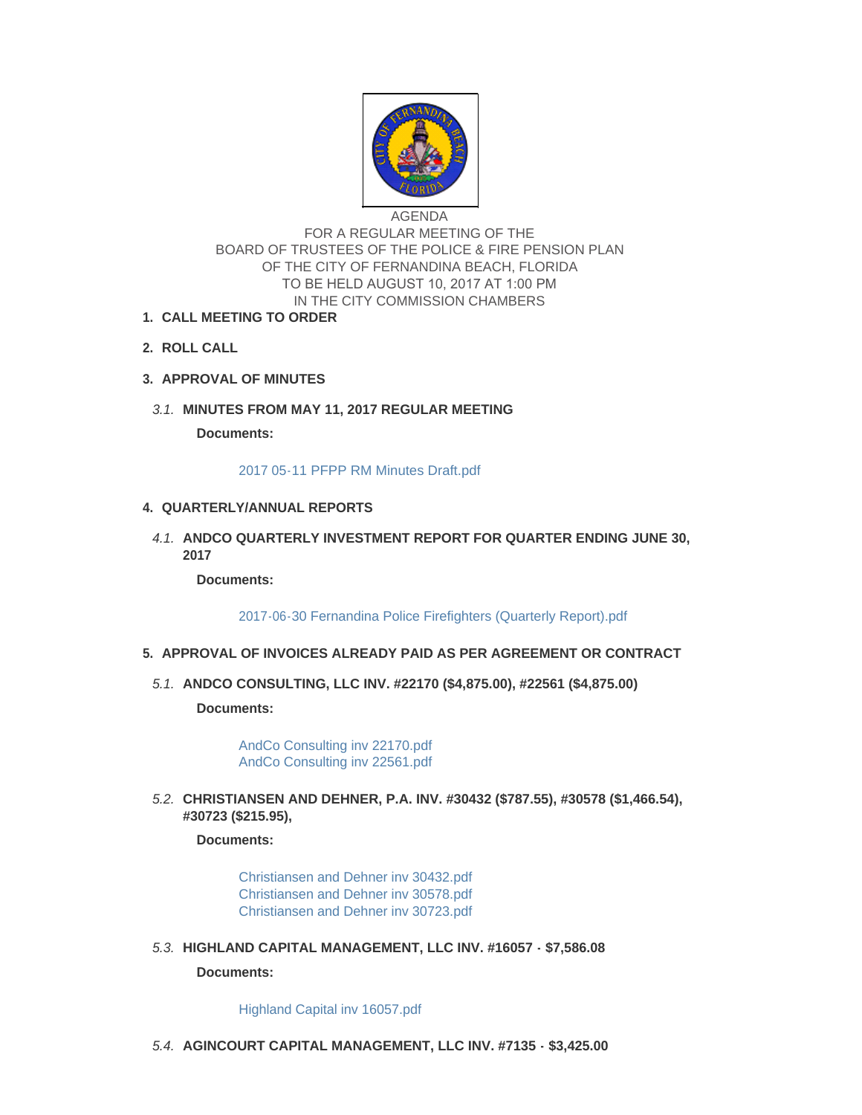

AGENDA FOR A REGULAR MEETING OF THE BOARD OF TRUSTEES OF THE POLICE & FIRE PENSION PLAN OF THE CITY OF FERNANDINA BEACH, FLORIDA TO BE HELD AUGUST 10, 2017 AT 1:00 PM IN THE CITY COMMISSION CHAMBERS

- **CALL MEETING TO ORDER 1.**
- **ROLL CALL 2.**
- **APPROVAL OF MINUTES 3.**
- **MINUTES FROM MAY 11, 2017 REGULAR MEETING** *3.1.*

**Documents:**

#### [2017 05-11 PFPP RM Minutes Draft.pdf](http://www.fbfl.us/AgendaCenter/ViewFile/Item/8046?fileID=5197)

# **QUARTERLY/ANNUAL REPORTS 4.**

**A.1. ANDCO QUARTERLY INVESTMENT REPORT FOR QUARTER ENDING JUNE 30, 2017**

**Documents:**

[2017-06-30 Fernandina Police Firefighters \(Quarterly Report\).pdf](http://www.fbfl.us/AgendaCenter/ViewFile/Item/8047?fileID=5203)

# **APPROVAL OF INVOICES ALREADY PAID AS PER AGREEMENT OR CONTRACT 5.**

**ANDCO CONSULTING, LLC INV. #22170 (\$4,875.00), #22561 (\$4,875.00)** *5.1.*

**Documents:**

[AndCo Consulting inv 22170.pdf](http://www.fbfl.us/AgendaCenter/ViewFile/Item/8048?fileID=5165) [AndCo Consulting inv 22561.pdf](http://www.fbfl.us/AgendaCenter/ViewFile/Item/8048?fileID=5166)

**CHRISTIANSEN AND DEHNER, P.A. INV. #30432 (\$787.55), #30578 (\$1,466.54),**  *5.2.* **#30723 (\$215.95),** 

#### **Documents:**

[Christiansen and Dehner inv 30432.pdf](http://www.fbfl.us/AgendaCenter/ViewFile/Item/8049?fileID=5201) [Christiansen and Dehner inv 30578.pdf](http://www.fbfl.us/AgendaCenter/ViewFile/Item/8049?fileID=5196) [Christiansen and Dehner inv 30723.pdf](http://www.fbfl.us/AgendaCenter/ViewFile/Item/8049?fileID=5167)

**HIGHLAND CAPITAL MANAGEMENT, LLC INV. #16057 - \$7,586.08** *5.3.*

#### **Documents:**

[Highland Capital inv 16057.pdf](http://www.fbfl.us/AgendaCenter/ViewFile/Item/8050?fileID=5168)

**AGINCOURT CAPITAL MANAGEMENT, LLC INV. #7135 - \$3,425.00** *5.4.*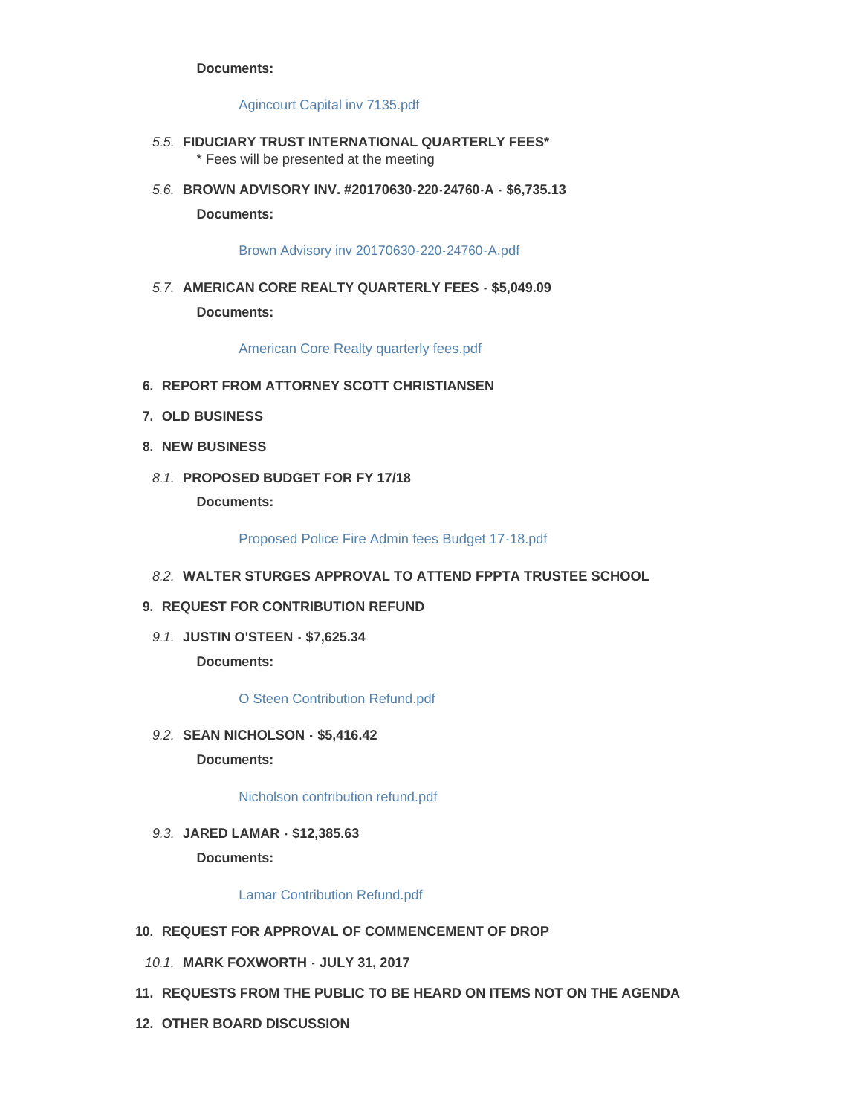#### **Documents:**

### [Agincourt Capital inv 7135.pdf](http://www.fbfl.us/AgendaCenter/ViewFile/Item/8051?fileID=5169)

- **FIDUCIARY TRUST INTERNATIONAL QUARTERLY FEES\*** *5.5.* \* Fees will be presented at the meeting
- **BROWN ADVISORY INV. #20170630-220-24760-A \$6,735.13** *5.6.* **Documents:**

[Brown Advisory inv 20170630-220-24760-A.pdf](http://www.fbfl.us/AgendaCenter/ViewFile/Item/8053?fileID=5170)

**AMERICAN CORE REALTY QUARTERLY FEES - \$5,049.09** *5.7.* **Documents:**

[American Core Realty quarterly fees.pdf](http://www.fbfl.us/AgendaCenter/ViewFile/Item/8054?fileID=5171)

- **REPORT FROM ATTORNEY SCOTT CHRISTIANSEN 6.**
- **OLD BUSINESS 7.**
- **NEW BUSINESS 8.**
	- **PROPOSED BUDGET FOR FY 17/18** *8.1.*

**Documents:**

[Proposed Police Fire Admin fees Budget 17-18.pdf](http://www.fbfl.us/AgendaCenter/ViewFile/Item/8055?fileID=5172)

**WALTER STURGES APPROVAL TO ATTEND FPPTA TRUSTEE SCHOOL** *8.2.*

### **REQUEST FOR CONTRIBUTION REFUND 9.**

**JUSTIN O'STEEN - \$7,625.34** *9.1.*

**Documents:**

# [O Steen Contribution Refund.pdf](http://www.fbfl.us/AgendaCenter/ViewFile/Item/8057?fileID=5173)

**SEAN NICHOLSON - \$5,416.42** *9.2.*

**Documents:**

[Nicholson contribution refund.pdf](http://www.fbfl.us/AgendaCenter/ViewFile/Item/8059?fileID=5175)

**JARED LAMAR - \$12,385.63** *9.3.* **Documents:**

#### [Lamar Contribution Refund.pdf](http://www.fbfl.us/AgendaCenter/ViewFile/Item/8058?fileID=5174)

- **REQUEST FOR APPROVAL OF COMMENCEMENT OF DROP 10.**
	- **MARK FOXWORTH JULY 31, 2017** *10.1.*
- **REQUESTS FROM THE PUBLIC TO BE HEARD ON ITEMS NOT ON THE AGENDA 11.**
- **OTHER BOARD DISCUSSION 12.**